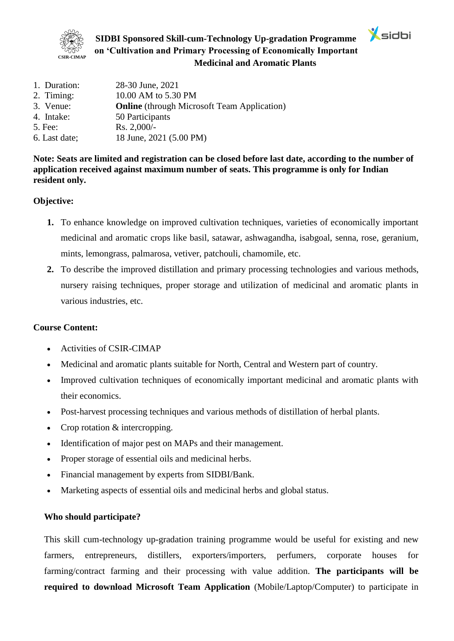

**SIDBI Sponsored Skill-cum-Technology Up-gradation Programme on 'Cultivation and Primary Processing of Economically Important Medicinal and Aromatic Plants**

 $\mathbf{\hat{X}}$ sidbi

| 1. Duration:  | 28-30 June, 2021                                   |
|---------------|----------------------------------------------------|
| 2. Timing:    | 10.00 AM to 5.30 PM                                |
| 3. Venue:     | <b>Online</b> (through Microsoft Team Application) |
| 4. Intake:    | 50 Participants                                    |
| 5. Fee:       | $Rs. 2,000/-$                                      |
| 6. Last date; | 18 June, 2021 (5.00 PM)                            |
|               |                                                    |

**Note: Seats are limited and registration can be closed before last date, according to the number of application received against maximum number of seats. This programme is only for Indian resident only.**

## **Objective:**

- **1.** To enhance knowledge on improved cultivation techniques, varieties of economically important medicinal and aromatic crops like basil, satawar, ashwagandha, isabgoal, senna, rose, geranium, mints, lemongrass, palmarosa, vetiver, patchouli, chamomile, etc.
- **2.** To describe the improved distillation and primary processing technologies and various methods, nursery raising techniques, proper storage and utilization of medicinal and aromatic plants in various industries, etc.

#### **Course Content:**

- Activities of CSIR-CIMAP
- Medicinal and aromatic plants suitable for North, Central and Western part of country.
- Improved cultivation techniques of economically important medicinal and aromatic plants with their economics.
- Post-harvest processing techniques and various methods of distillation of herbal plants.
- Crop rotation & intercropping.
- Identification of major pest on MAPs and their management.
- Proper storage of essential oils and medicinal herbs.
- Financial management by experts from SIDBI/Bank.
- Marketing aspects of essential oils and medicinal herbs and global status.

#### **Who should participate?**

This skill cum-technology up-gradation training programme would be useful for existing and new farmers, entrepreneurs, distillers, exporters/importers, perfumers, corporate houses for farming/contract farming and their processing with value addition. **The participants will be required to download Microsoft Team Application** (Mobile/Laptop/Computer) to participate in